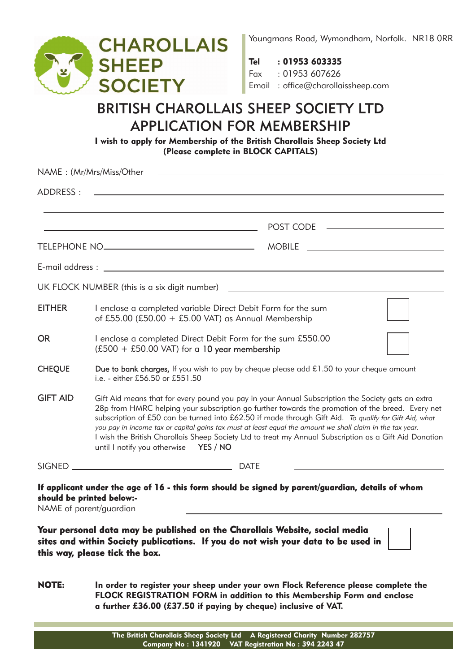

Youngmans Road, Wymondham, Norfolk. NR18 0RR

Tel : 01953 603335 Fax : 01953 607626 Email : office@charollaissheep.com

## BRITISH CHAROLLAIS SHEEP SOCIETY LTD APPLICATION FOR MEMBERSHIP

I wish to apply for Membership of the British Charollais Sheep Society Ltd (Please complete in BLOCK CAPITALS)

|                 | NAME: (Mr/Mrs/Miss/Other                                                                                                                                                                                                                                                                                                                                                                                                                                                                                                                                                       |  |  |
|-----------------|--------------------------------------------------------------------------------------------------------------------------------------------------------------------------------------------------------------------------------------------------------------------------------------------------------------------------------------------------------------------------------------------------------------------------------------------------------------------------------------------------------------------------------------------------------------------------------|--|--|
| ADDRESS:        |                                                                                                                                                                                                                                                                                                                                                                                                                                                                                                                                                                                |  |  |
|                 | POST CODE<br>the control of the control of the control of the control of the control of                                                                                                                                                                                                                                                                                                                                                                                                                                                                                        |  |  |
|                 | <b>MOBILE</b><br><u> 1990 - Johann Barbara, martin a</u>                                                                                                                                                                                                                                                                                                                                                                                                                                                                                                                       |  |  |
|                 |                                                                                                                                                                                                                                                                                                                                                                                                                                                                                                                                                                                |  |  |
|                 | UK FLOCK NUMBER (this is a six digit number)                                                                                                                                                                                                                                                                                                                                                                                                                                                                                                                                   |  |  |
| <b>EITHER</b>   | I enclose a completed variable Direct Debit Form for the sum<br>of £55.00 (£50.00 + £5.00 VAT) as Annual Membership                                                                                                                                                                                                                                                                                                                                                                                                                                                            |  |  |
| <b>OR</b>       | I enclose a completed Direct Debit Form for the sum £550.00<br>$(E500 + E50.00 \text{ VAT})$ for a 10 year membership                                                                                                                                                                                                                                                                                                                                                                                                                                                          |  |  |
| <b>CHEQUE</b>   | Due to bank charges, If you wish to pay by cheque please add $£1.50$ to your cheque amount<br>i.e. - either £56.50 or £551.50                                                                                                                                                                                                                                                                                                                                                                                                                                                  |  |  |
| <b>GIFT AID</b> | Gift Aid means that for every pound you pay in your Annual Subscription the Society gets an extra<br>28p from HMRC helping your subscription go further towards the promotion of the breed. Every net<br>subscription of £50 can be turned into £62.50 if made through Gift Aid. To qualify for Gift Aid, what<br>you pay in income tax or capital gains tax must at least equal the amount we shall claim in the tax year.<br>I wish the British Charollais Sheep Society Ltd to treat my Annual Subscription as a Gift Aid Donation<br>until I notify you otherwise YES / NO |  |  |
|                 | <b>DATE</b>                                                                                                                                                                                                                                                                                                                                                                                                                                                                                                                                                                    |  |  |
|                 | If applicant under the age of 16 - this form should be signed by parent/guardian, details of whom<br>should be printed below:-<br>NAME of parent/guardian<br>Your personal data may be published on the Charollais Website, social media<br>sites and within Society publications. If you do not wish your data to be used in<br>this way, please tick the box.                                                                                                                                                                                                                |  |  |
| <b>NOTE:</b>    | In order to register your sheep under your own Flock Reference please complete the<br>FLOCK REGISTRATION FORM in addition to this Membership Form and enclose                                                                                                                                                                                                                                                                                                                                                                                                                  |  |  |

a further £36.00 (£37.50 if paying by cheque) inclusive of VAT.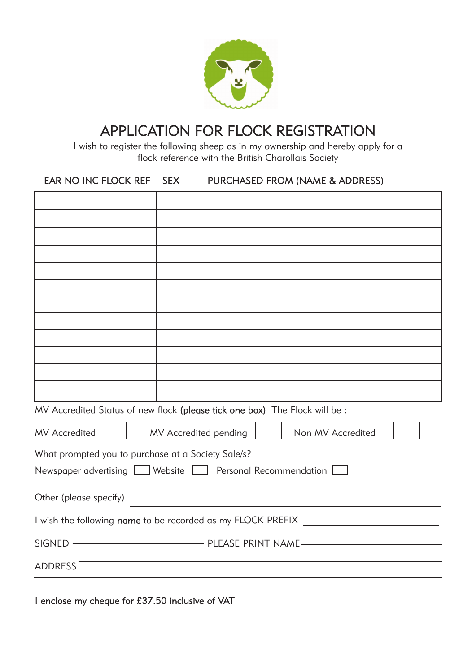

## APPLICATION FOR FLOCK REGISTRATION

I wish to register the following sheep as in my ownership and hereby apply for a flock reference with the British Charollais Society

EAR NO INC FLOCK REF SEX PURCHASED FROM (NAME & ADDRESS)

|                                                                                  |  | MV Accredited Status of new flock (please tick one box) The Flock will be : |  |  |  |  |
|----------------------------------------------------------------------------------|--|-----------------------------------------------------------------------------|--|--|--|--|
| MV Accredited pending<br>MV Accredited<br>Non MV Accredited                      |  |                                                                             |  |  |  |  |
| What prompted you to purchase at a Society Sale/s?                               |  |                                                                             |  |  |  |  |
| Newspaper advertising Website   Personal Recommendation                          |  |                                                                             |  |  |  |  |
| Other (please specify)                                                           |  |                                                                             |  |  |  |  |
| I wish the following name to be recorded as my FLOCK PREFIX ____________________ |  |                                                                             |  |  |  |  |
| SIGNED ———————————————————— PLEASE PRINT NAME ————————————————                   |  |                                                                             |  |  |  |  |
| <b>ADDRESS</b>                                                                   |  |                                                                             |  |  |  |  |
|                                                                                  |  |                                                                             |  |  |  |  |

I enclose my cheque for £37.50 inclusive of VAT